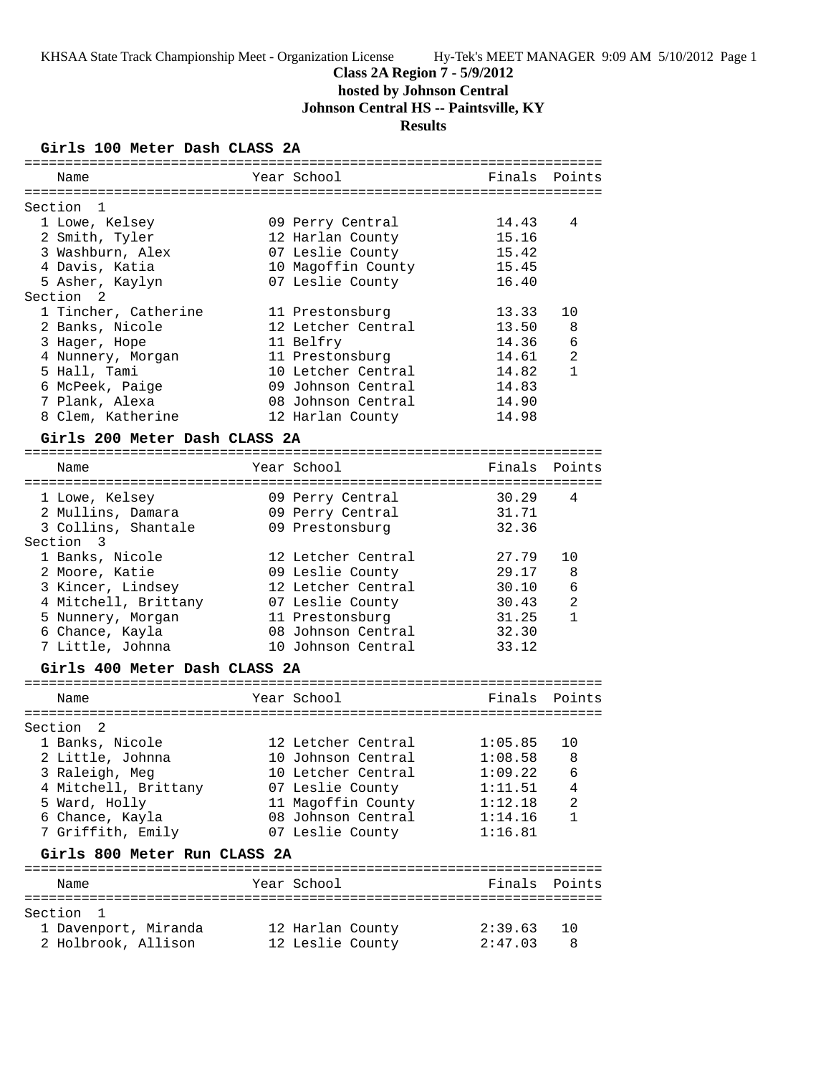## **Class 2A Region 7 - 5/9/2012**

**hosted by Johnson Central**

**Johnson Central HS -- Paintsville, KY**

## **Results**

### **Girls 100 Meter Dash CLASS 2A**

| Name                                | Year School        | Finals  | Points       |
|-------------------------------------|--------------------|---------|--------------|
|                                     |                    |         |              |
| Section<br>1                        |                    |         |              |
| 1 Lowe, Kelsey                      | 09 Perry Central   | 14.43   | 4            |
| 2 Smith, Tyler                      | 12 Harlan County   | 15.16   |              |
| 3 Washburn, Alex                    | 07 Leslie County   | 15.42   |              |
| 4 Davis, Katia                      | 10 Magoffin County | 15.45   |              |
| 5 Asher, Kaylyn                     | 07 Leslie County   | 16.40   |              |
| Section <sub>2</sub>                |                    |         |              |
| 1 Tincher, Catherine                | 11 Prestonsburg    | 13.33   | 10           |
| 2 Banks, Nicole                     | 12 Letcher Central | 13.50   | 8            |
| 3 Hager, Hope                       | 11 Belfry          | 14.36   | 6            |
| 4 Nunnery, Morgan                   | 11 Prestonsburg    | 14.61   | 2            |
| 5 Hall, Tami                        | 10 Letcher Central | 14.82   | $\mathbf{1}$ |
| 6 McPeek, Paige                     | 09 Johnson Central | 14.83   |              |
| 7 Plank, Alexa                      | 08 Johnson Central | 14.90   |              |
| 8 Clem, Katherine                   | 12 Harlan County   | 14.98   |              |
| Girls 200 Meter Dash CLASS 2A       |                    |         |              |
|                                     |                    |         |              |
| Name                                | Year School        | Finals  | Points       |
|                                     |                    |         |              |
| 1 Lowe, Kelsey                      | 09 Perry Central   | 30.29   | 4            |
| 2 Mullins, Damara                   | 09 Perry Central   | 31.71   |              |
| 3 Collins, Shantale                 | 09 Prestonsburg    | 32.36   |              |
| Section 3                           |                    |         |              |
| 1 Banks, Nicole                     | 12 Letcher Central | 27.79   | 10           |
| 2 Moore, Katie                      | 09 Leslie County   | 29.17   | 8            |
| 3 Kincer, Lindsey                   | 12 Letcher Central | 30.10   | 6            |
| 4 Mitchell, Brittany                | 07 Leslie County   | 30.43   | 2            |
| 5 Nunnery, Morgan                   | 11 Prestonsburg    | 31.25   | $\mathbf{1}$ |
| 6 Chance, Kayla                     | 08 Johnson Central | 32.30   |              |
| 7 Little, Johnna                    | 10 Johnson Central | 33.12   |              |
|                                     |                    |         |              |
| Girls 400 Meter Dash CLASS 2A       |                    |         |              |
|                                     |                    |         |              |
| Name                                | Year School        | Finals  | Points       |
| :==========<br>==================== |                    |         |              |
| Section<br>2<br>1 Banks, Nicole     | 12 Letcher Central | 1:05.85 |              |
|                                     | 10 Johnson Central | 1:08.58 | 10           |
| 2 Little, Johnna                    |                    |         | 8            |
| 3 Raleigh, Meg                      | 10 Letcher Central | 1:09.22 | 6            |
| 4 Mitchell, Brittany                | 07 Leslie County   | 1:11.51 | 4            |
| 5 Ward, Holly                       | 11 Magoffin County | 1:12.18 | 2            |
| 6 Chance, Kayla                     | 08 Johnson Central | 1:14.16 | 1            |
| 7 Griffith, Emily                   | 07 Leslie County   | 1:16.81 |              |
| Girls 800 Meter Run CLASS 2A        |                    |         |              |
| Name                                | Year School        | Finals  | Points       |
|                                     |                    |         |              |
| Section<br>1                        |                    |         |              |
| 1 Davenport, Miranda                | 12 Harlan County   | 2:39.63 | 10           |
| 2 Holbrook, Allison                 | 12 Leslie County   | 2:47.03 | 8            |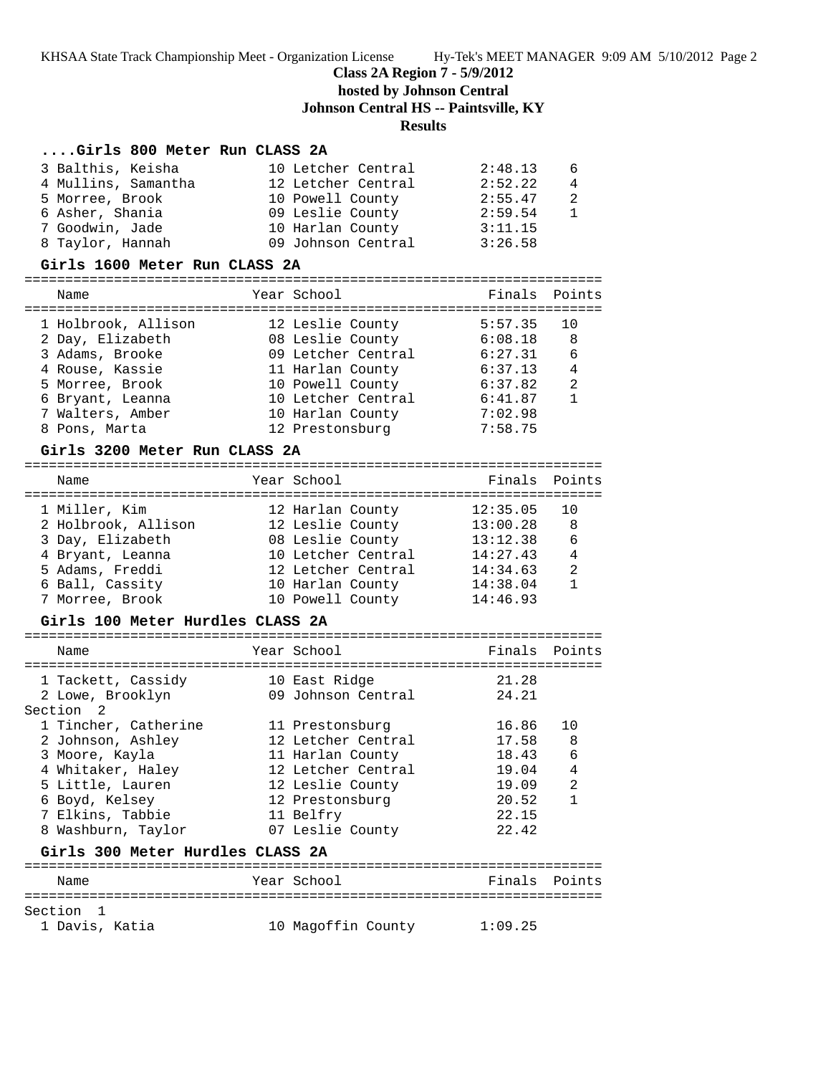#### **Class 2A Region 7 - 5/9/2012**

**hosted by Johnson Central**

**Johnson Central HS -- Paintsville, KY**

### **Results**

### **....Girls 800 Meter Run CLASS 2A**

| 3 Balthis, Keisha   | 10 Letcher Central | 2:48.13 | 6              |
|---------------------|--------------------|---------|----------------|
| 4 Mullins, Samantha | 12 Letcher Central | 2:52.22 | $\overline{4}$ |
| 5 Morree, Brook     | 10 Powell County   | 2:55.47 | 2              |
| 6 Asher, Shania     | 09 Leslie County   | 2:59.54 |                |
| 7 Goodwin, Jade     | 10 Harlan County   | 3:11.15 |                |
| 8 Taylor, Hannah    | 09 Johnson Central | 3:26.58 |                |

#### **Girls 1600 Meter Run CLASS 2A**

#### =======================================================================

| Name                | Year School        | Finals Points |                |
|---------------------|--------------------|---------------|----------------|
| 1 Holbrook, Allison | 12 Leslie County   | 5:57.35       | 10             |
| 2 Day, Elizabeth    | 08 Leslie County   | 6:08.18       | 8              |
| 3 Adams, Brooke     | 09 Letcher Central | 6:27.31       | 6              |
| 4 Rouse, Kassie     | 11 Harlan County   | 6:37.13       | $\overline{4}$ |
| 5 Morree, Brook     | 10 Powell County   | 6:37.82       | $\mathfrak{D}$ |
| 6 Bryant, Leanna    | 10 Letcher Central | 6:41.87       |                |
| 7 Walters, Amber    | 10 Harlan County   | 7:02.98       |                |
| 8 Pons, Marta       | 12 Prestonsburg    | 7:58.75       |                |
|                     |                    |               |                |

#### **Girls 3200 Meter Run CLASS 2A**

| Name                | Year School        | Finals Points |                |
|---------------------|--------------------|---------------|----------------|
| 1 Miller, Kim       | 12 Harlan County   | 12:35.05      |                |
| 2 Holbrook, Allison | 12 Leslie County   | 13:00.28      | -8             |
| 3 Day, Elizabeth    | 08 Leslie County   | 13:12.38      | 6              |
| 4 Bryant, Leanna    | 10 Letcher Central | 14:27.43      | $\overline{4}$ |
| 5 Adams, Freddi     | 12 Letcher Central | 14:34.63      | $\mathcal{L}$  |
| 6 Ball, Cassity     | 10 Harlan County   | 14:38.04      |                |
| 7 Morree, Brook     | 10 Powell County   | 14:46.93      |                |
|                     |                    |               |                |

#### **Girls 100 Meter Hurdles CLASS 2A**

| Name                             | Year School        | Finals        | Points |
|----------------------------------|--------------------|---------------|--------|
| 1 Tackett, Cassidy               | 10 East Ridge      | 21.28         |        |
| 2 Lowe, Brooklyn                 | 09 Johnson Central | 24.21         |        |
| Section <sub>2</sub>             |                    |               |        |
| 1 Tincher, Catherine             | 11 Prestonsburg    | 16.86         | 10     |
| 2 Johnson, Ashley                | 12 Letcher Central | 17.58         | 8      |
| 3 Moore, Kayla                   | 11 Harlan County   | 18.43         | 6      |
| 4 Whitaker, Haley                | 12 Letcher Central | 19.04         | 4      |
| 5 Little, Lauren                 | 12 Leslie County   | 19.09         | 2      |
| 6 Boyd, Kelsey                   | 12 Prestonsburg    | 20.52         | 1      |
| 7 Elkins, Tabbie                 | 11 Belfry          | 22.15         |        |
| 8 Washburn, Taylor               | 07 Leslie County   | 22.42         |        |
| Girls 300 Meter Hurdles CLASS 2A |                    |               |        |
| Name                             | Year School        | Finals Points |        |
| Section<br>1 Davis, Katia        | 10 Magoffin County | 1:09.25       |        |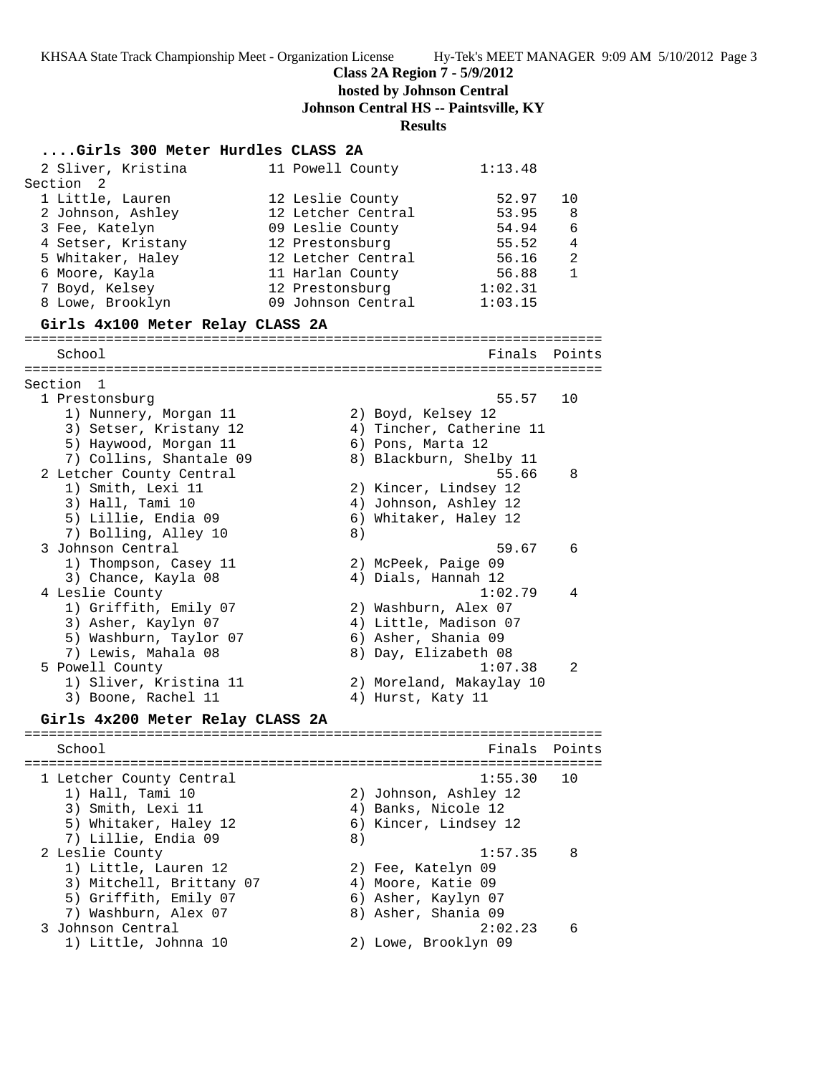**Class 2A Region 7 - 5/9/2012**

**hosted by Johnson Central**

**Johnson Central HS -- Paintsville, KY**

## **Results**

| Girls 300 Meter Hurdles CLASS 2A                                                                                                                                                                            |                                                                                                                                                                                                                                              |                                        |
|-------------------------------------------------------------------------------------------------------------------------------------------------------------------------------------------------------------|----------------------------------------------------------------------------------------------------------------------------------------------------------------------------------------------------------------------------------------------|----------------------------------------|
| 2 Sliver, Kristina                                                                                                                                                                                          | 1:13.48<br>11 Powell County                                                                                                                                                                                                                  |                                        |
| Section 2<br>1 Little, Lauren<br>2 Johnson, Ashley<br>3 Fee, Katelyn<br>4 Setser, Kristany<br>5 Whitaker, Haley<br>6 Moore, Kayla<br>7 Boyd, Kelsey<br>8 Lowe, Brooklyn<br>Girls 4x100 Meter Relay CLASS 2A | 52.97<br>12 Leslie County<br>12 Letcher Central<br>53.95<br>54.94<br>09 Leslie County<br>12 Prestonsburg<br>55.52<br>12 Letcher Central<br>56.16<br>56.88<br>11 Harlan County<br>1:02.31<br>12 Prestonsburg<br>09 Johnson Central<br>1:03.15 | 10<br>8<br>6<br>4<br>2<br>$\mathbf{1}$ |
|                                                                                                                                                                                                             |                                                                                                                                                                                                                                              |                                        |
| School                                                                                                                                                                                                      | Finals                                                                                                                                                                                                                                       | Points                                 |
| Section 1<br>1 Prestonsburg<br>1) Nunnery, Morgan 11<br>3) Setser, Kristany 12<br>5) Haywood, Morgan 11<br>7) Collins, Shantale 09                                                                          | 55.57<br>2) Boyd, Kelsey 12<br>4) Tincher, Catherine 11<br>6) Pons, Marta 12<br>8) Blackburn, Shelby 11                                                                                                                                      | 10                                     |
| 2 Letcher County Central<br>1) Smith, Lexi 11<br>3) Hall, Tami 10<br>5) Lillie, Endia 09<br>7) Bolling, Alley 10                                                                                            | 55.66<br>2) Kincer, Lindsey 12<br>4) Johnson, Ashley 12<br>6) Whitaker, Haley 12<br>8)                                                                                                                                                       | 8                                      |
| 3 Johnson Central                                                                                                                                                                                           | 59.67                                                                                                                                                                                                                                        | 6                                      |
| 1) Thompson, Casey 11<br>3) Chance, Kayla 08<br>4 Leslie County<br>1) Griffith, Emily 07<br>3) Asher, Kaylyn 07<br>5) Washburn, Taylor 07<br>7) Lewis, Mahala 08                                            | 2) McPeek, Paige 09<br>4) Dials, Hannah 12<br>1:02.79<br>2) Washburn, Alex 07<br>4) Little, Madison 07<br>6) Asher, Shania 09<br>8) Day, Elizabeth 08                                                                                        | 4                                      |
| 5 Powell County<br>1) Sliver, Kristina 11<br>3) Boone, Rachel 11<br>Girls 4x200 Meter Relay CLASS 2A                                                                                                        | 1:07.38<br>2) Moreland, Makaylay 10<br>4) Hurst, Katy 11                                                                                                                                                                                     | 2                                      |
| School                                                                                                                                                                                                      | Finals Points                                                                                                                                                                                                                                |                                        |
| 1 Letcher County Central<br>1) Hall, Tami 10<br>3) Smith, Lexi 11<br>5) Whitaker, Haley 12<br>7) Lillie, Endia 09                                                                                           | 1:55.30<br>2) Johnson, Ashley 12<br>4) Banks, Nicole 12<br>6) Kincer, Lindsey 12<br>8)                                                                                                                                                       | 10                                     |
| 2 Leslie County<br>1) Little, Lauren 12<br>3) Mitchell, Brittany 07<br>5) Griffith, Emily 07<br>7) Washburn, Alex 07                                                                                        | 1:57.35<br>2) Fee, Katelyn 09<br>4) Moore, Katie 09<br>6) Asher, Kaylyn 07<br>8) Asher, Shania 09                                                                                                                                            | 8                                      |
| 3 Johnson Central<br>1) Little, Johnna 10                                                                                                                                                                   | 2:02.23<br>2) Lowe, Brooklyn 09                                                                                                                                                                                                              | 6                                      |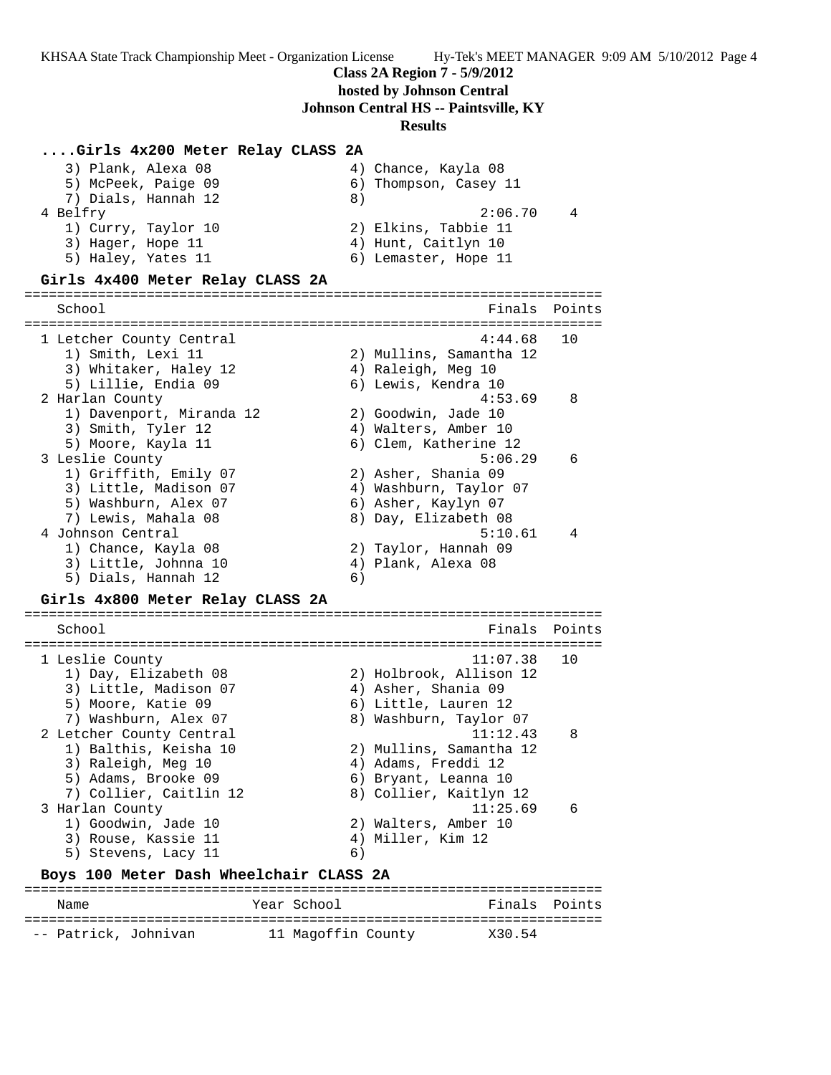#### **Class 2A Region 7 - 5/9/2012**

**hosted by Johnson Central**

#### **Johnson Central HS -- Paintsville, KY**

#### **Results**

#### **....Girls 4x200 Meter Relay CLASS 2A**

| 3) Plank, Alexa 08  | 4) Chance, Kayla 08   |
|---------------------|-----------------------|
| 5) McPeek, Paige 09 | 6) Thompson, Casey 11 |
| 7) Dials, Hannah 12 | 8)                    |
| 4 Belfry            | 2:06.70<br>4          |
| 1) Curry, Taylor 10 | 2) Elkins, Tabbie 11  |
| 3) Hager, Hope 11   | 4) Hunt, Caitlyn 10   |
| 5) Haley, Yates 11  | 6) Lemaster, Hope 11  |
|                     |                       |

5) Haley, Yates 11 (6) Lemaster, Hope 11 **Girls 4x400 Meter Relay CLASS 2A** ======================================================================= School **Finals** Points ======================================================================= 1 Letcher County Central 4:44.68 10 1) Smith, Lexi 11 2) Mullins, Samantha 12 3) Whitaker, Haley 12 (4) Raleigh, Meg 10 5) Lillie, Endia 09 (6) Lewis, Kendra 10 2 Harlan County 4:53.69 8 1) Davenport, Miranda 12 2) Goodwin, Jade 10 3) Smith, Tyler 12 (4) Walters, Amber 10 5) Moore, Kayla 11 6) Clem, Katherine 12 3 Leslie County 5:06.29 6 1) Griffith, Emily 07 2) Asher, Shania 09 3) Little, Madison 07 4) Washburn, Taylor 07 5) Washburn, Alex 07 6) Asher, Kaylyn 07 7) Lewis, Mahala 08 8) Day, Elizabeth 08 4 Johnson Central 5:10.61 4 1) Chance, Kayla 08 2) Taylor, Hannah 09 3) Little, Johnna 10 (4) Plank, Alexa 08 5) Dials, Hannah 12 6) **Girls 4x800 Meter Relay CLASS 2A** =======================================================================

School **Finals** Points **Points** ======================================================================= 1 Leslie County 11:07.38 10 1) Day, Elizabeth 08 2) Holbrook, Allison 12 3) Little, Madison 07 4) Asher, Shania 09 5) Moore, Katie 09 6) Little, Lauren 12 7) Washburn, Alex 07 8) Washburn, Taylor 07 2 Letcher County Central 11:12.43 8 1) Balthis, Keisha 10 2) Mullins, Samantha 12 3) Raleigh, Meg 10 (4) Adams, Freddi 12 5) Adams, Brooke 09 6) Bryant, Leanna 10 7) Collier, Caitlin 12 8) Collier, Kaitlyn 12 3 Harlan County 11:25.69 6 1) Goodwin, Jade 10 2) Walters, Amber 10 3) Rouse, Kassie 11 (4) Miller, Kim 12 5) Stevens, Lacy 11 6)

#### **Boys 100 Meter Dash Wheelchair CLASS 2A**

| Name                 | Year School        | Finals Points |
|----------------------|--------------------|---------------|
| -- Patrick, Johnivan | 11 Magoffin County | X30.54        |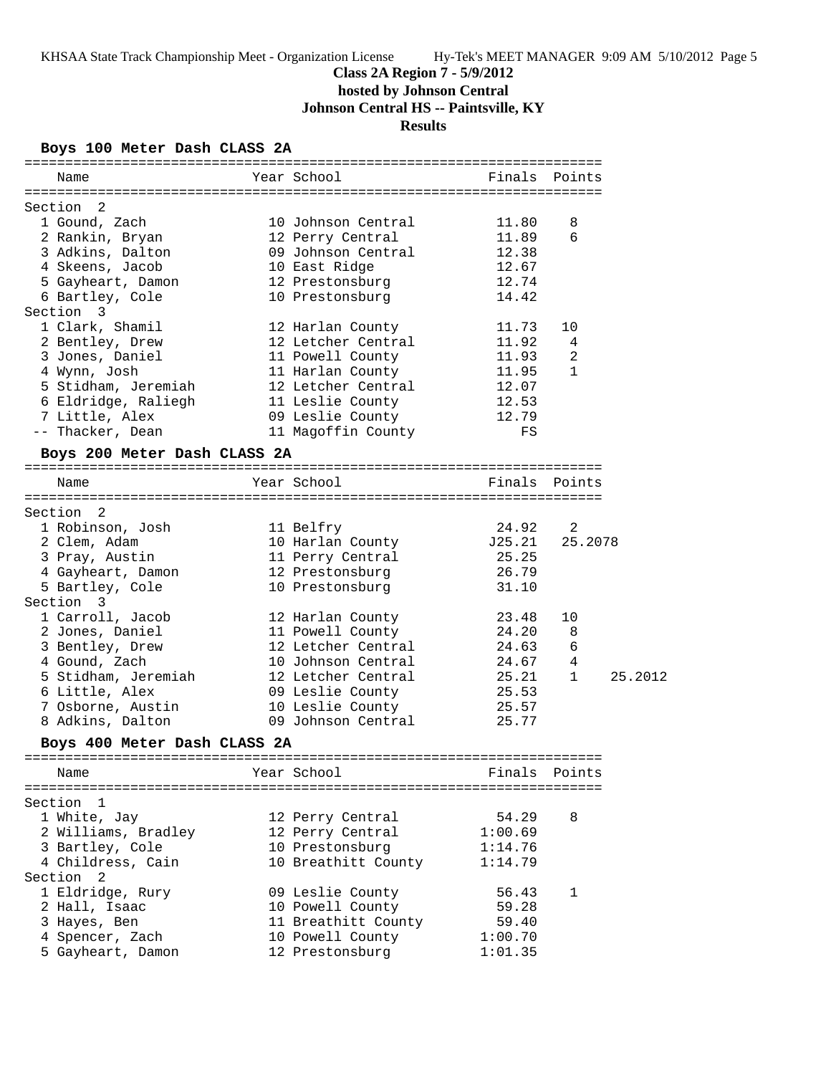## **Class 2A Region 7 - 5/9/2012**

**hosted by Johnson Central**

**Johnson Central HS -- Paintsville, KY**

## **Results**

### **Boys 100 Meter Dash CLASS 2A**

| Name                                  | Year School                            |                | Finals Points       |         |
|---------------------------------------|----------------------------------------|----------------|---------------------|---------|
|                                       |                                        |                |                     |         |
| Section 2                             |                                        |                |                     |         |
| 1 Gound, Zach                         | 10 Johnson Central                     | 11.80          | 8                   |         |
| 2 Rankin, Bryan                       | 12 Perry Central                       | 11.89          | 6                   |         |
| 3 Adkins, Dalton                      | 09 Johnson Central                     | 12.38          |                     |         |
| 4 Skeens, Jacob                       | 10 East Ridge                          | 12.67          |                     |         |
| 5 Gayheart, Damon 12 Prestonsburg     |                                        | 12.74          |                     |         |
| 6 Bartley, Cole                       | 10 Prestonsburg                        | 14.42          |                     |         |
| Section 3                             |                                        |                |                     |         |
| 1 Clark, Shamil                       | 12 Harlan County                       | 11.73          | 10                  |         |
| 2 Bentley, Drew                       | 12 Letcher Central<br>11 Powell County | 11.92          | 4<br>$\overline{2}$ |         |
| 3 Jones, Daniel                       |                                        | 11.93          | 1                   |         |
| 4 Wynn, Josh                          | 11 Harlan County<br>12 Letcher Central | 11.95          |                     |         |
| 5 Stidham, Jeremiah                   |                                        | 12.07<br>12.53 |                     |         |
| 6 Eldridge, Raliegh<br>7 Little, Alex | 11 Leslie County<br>09 Leslie County   | 12.79          |                     |         |
| -- Thacker, Dean                      | 11 Magoffin County                     | FS             |                     |         |
|                                       |                                        |                |                     |         |
| Boys 200 Meter Dash CLASS 2A          |                                        |                |                     |         |
| Name                                  | Year School                            |                | Finals Points       |         |
|                                       |                                        |                |                     |         |
| Section 2                             |                                        |                |                     |         |
| 1 Robinson, Josh                      | 11 Belfry                              | 24.92          | 2                   |         |
| 2 Clem, Adam                          | 10 Harlan County 525.21                |                | 25.2078             |         |
| 3 Pray, Austin                        | 11 Perry Central                       | 25.25          |                     |         |
| 4 Gayheart, Damon                     | 12 Prestonsburg                        | 26.79          |                     |         |
| 5 Bartley, Cole                       | 10 Prestonsburg                        | 31.10          |                     |         |
| Section 3                             |                                        |                |                     |         |
| 1 Carroll, Jacob                      | 12 Harlan County                       | 23.48          | 10                  |         |
| 2 Jones, Daniel                       | 11 Powell County                       | 24.20          | 8                   |         |
| 3 Bentley, Drew                       | 12 Letcher Central                     | 24.63          | $\epsilon$          |         |
| 4 Gound, Zach                         | 10 Johnson Central                     | 24.67          | 4                   |         |
| 5 Stidham, Jeremiah                   | 12 Letcher Central                     | 25.21          | 1                   | 25.2012 |
| 6 Little, Alex                        | 09 Leslie County                       | 25.53          |                     |         |
| 7 Osborne, Austin                     | 10 Leslie County                       | 25.57          |                     |         |
| 8 Adkins, Dalton                      | 09 Johnson Central                     | 25.77          |                     |         |
| Boys 400 Meter Dash CLASS 2A          |                                        |                |                     |         |
| Name                                  | Year School                            | Finals         | Points              |         |
|                                       |                                        |                |                     |         |
| Section<br>$\mathbf{1}$               |                                        |                |                     |         |
| 1 White, Jay                          | 12 Perry Central                       | 54.29          | 8                   |         |
| 2 Williams, Bradley                   | 12 Perry Central                       | 1:00.69        |                     |         |
| 3 Bartley, Cole                       | 10 Prestonsburg                        | 1:14.76        |                     |         |
| 4 Childress, Cain                     | 10 Breathitt County                    | 1:14.79        |                     |         |
| Section <sub>2</sub>                  |                                        |                |                     |         |
| 1 Eldridge, Rury                      | 09 Leslie County                       | 56.43          | 1                   |         |
| 2 Hall, Isaac                         | 10 Powell County                       | 59.28          |                     |         |
| 3 Hayes, Ben                          | 11 Breathitt County                    | 59.40          |                     |         |
| 4 Spencer, Zach                       | 10 Powell County                       | 1:00.70        |                     |         |
| 5 Gayheart, Damon                     | 12 Prestonsburg                        | 1:01.35        |                     |         |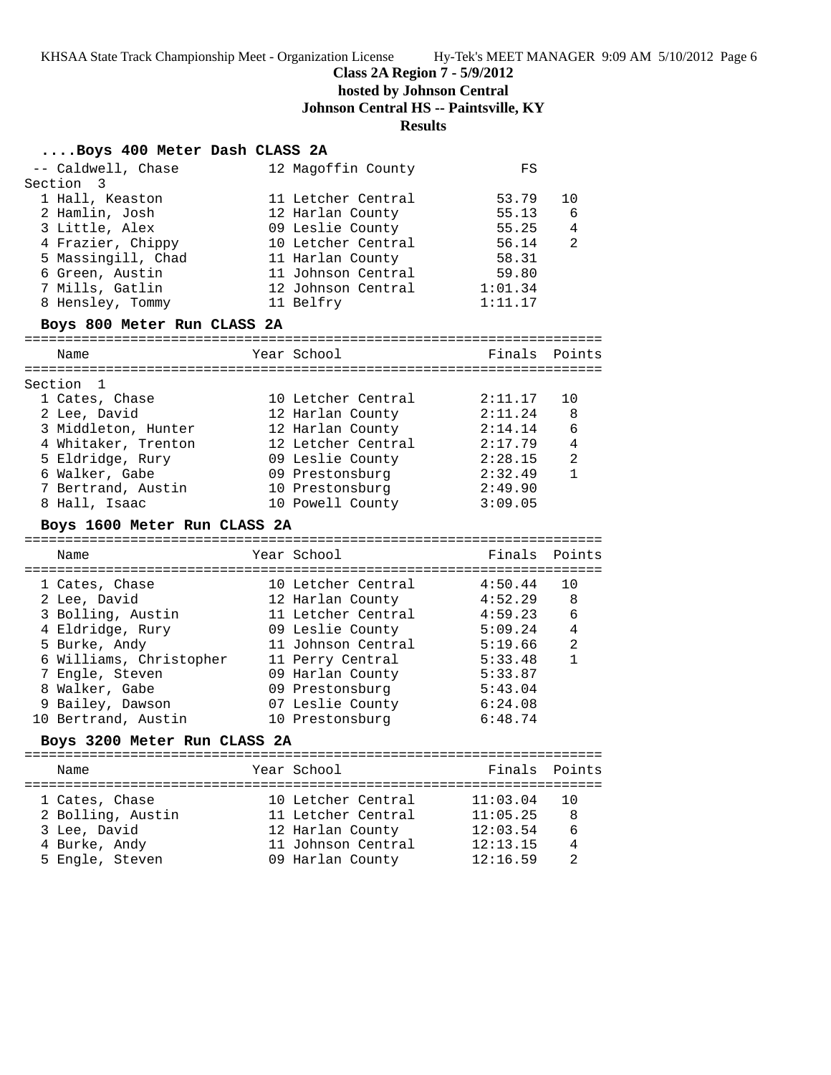### **Class 2A Region 7 - 5/9/2012**

**hosted by Johnson Central**

**Johnson Central HS -- Paintsville, KY**

### **Results**

## **....Boys 400 Meter Dash CLASS 2A**

| Section<br>3<br>1 Hall, Keaston<br>11 Letcher Central<br>2 Hamlin, Josh<br>12 Harlan County<br>09 Leslie County                                                                                                                                                                                                                                                                                                                                 | 53.79<br>55.13<br>55.25<br>56.14<br>58.31                                                                  | 10<br>6<br>4                                        |
|-------------------------------------------------------------------------------------------------------------------------------------------------------------------------------------------------------------------------------------------------------------------------------------------------------------------------------------------------------------------------------------------------------------------------------------------------|------------------------------------------------------------------------------------------------------------|-----------------------------------------------------|
| 3 Little, Alex<br>4 Frazier, Chippy<br>10 Letcher Central<br>5 Massingill, Chad<br>11 Harlan County<br>6 Green, Austin<br>11 Johnson Central<br>7 Mills, Gatlin<br>12 Johnson Central<br>8 Hensley, Tommy<br>11 Belfry                                                                                                                                                                                                                          | 59.80<br>1:01.34<br>1:11.17                                                                                | 2                                                   |
| Boys 800 Meter Run CLASS 2A                                                                                                                                                                                                                                                                                                                                                                                                                     |                                                                                                            |                                                     |
| Year School<br>Name                                                                                                                                                                                                                                                                                                                                                                                                                             | Finals                                                                                                     | Points                                              |
| Section 1                                                                                                                                                                                                                                                                                                                                                                                                                                       |                                                                                                            |                                                     |
| 1 Cates, Chase<br>10 Letcher Central<br>2 Lee, David<br>12 Harlan County<br>3 Middleton, Hunter<br>12 Harlan County<br>4 Whitaker, Trenton<br>12 Letcher Central<br>09 Leslie County<br>5 Eldridge, Rury<br>6 Walker, Gabe<br>09 Prestonsburg<br>7 Bertrand, Austin<br>10 Prestonsburg<br>8 Hall, Isaac<br>10 Powell County<br>Boys 1600 Meter Run CLASS 2A                                                                                     | 2:11.17<br>2:11.24<br>2:14.14<br>2:17.79<br>2:28.15<br>2:32.49<br>2:49.90<br>3:09.05                       | 10<br>8<br>6<br>4<br>2<br>$\mathbf{1}$              |
| Year School<br>Name                                                                                                                                                                                                                                                                                                                                                                                                                             | Finals                                                                                                     | Points                                              |
| 1 Cates, Chase<br>10 Letcher Central<br>2 Lee, David<br>12 Harlan County<br>3 Bolling, Austin<br>11 Letcher Central<br>4 Eldridge, Rury<br>09 Leslie County<br>5 Burke, Andy<br>11 Johnson Central<br>6 Williams, Christopher<br>11 Perry Central<br>7 Engle, Steven<br>09 Harlan County<br>8 Walker, Gabe<br>09 Prestonsburg<br>9 Bailey, Dawson<br>07 Leslie County<br>10 Bertrand, Austin<br>10 Prestonsburg<br>Boys 3200 Meter Run CLASS 2A | 4:50.44<br>4:52.29<br>4:59.23<br>5:09.24<br>5:19.66<br>5:33.48<br>5:33.87<br>5:43.04<br>6:24.08<br>6:48.74 | 10<br>8<br>6<br>$\overline{4}$<br>2<br>$\mathbf{1}$ |
| Year School<br>Name                                                                                                                                                                                                                                                                                                                                                                                                                             | Finals                                                                                                     | Points                                              |
| 1 Cates, Chase<br>10 Letcher Central<br>2 Bolling, Austin<br>11 Letcher Central<br>3 Lee, David<br>12 Harlan County                                                                                                                                                                                                                                                                                                                             | 11:03.04<br>11:05.25<br>12:03.54                                                                           | 10<br>-8<br>6                                       |

 4 Burke, Andy 11 Johnson Central 12:13.15 4 5 Engle, Steven 09 Harlan County 12:16.59 2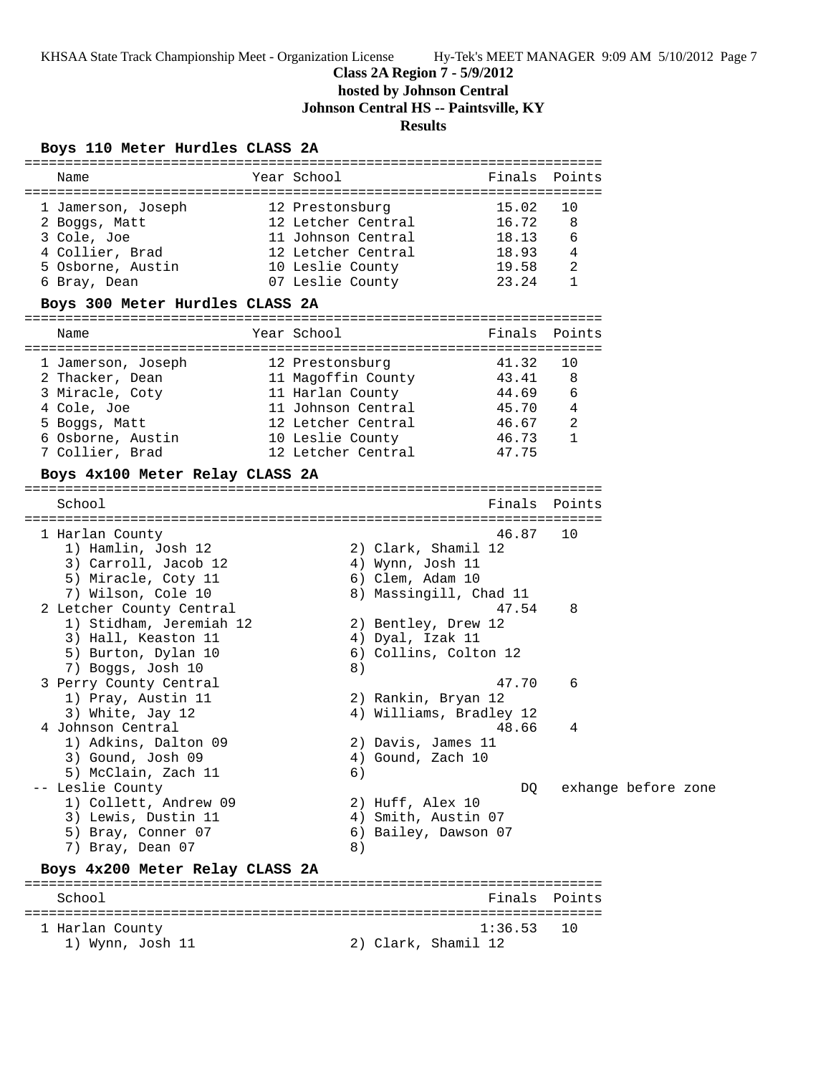## **Class 2A Region 7 - 5/9/2012**

**hosted by Johnson Central**

**Johnson Central HS -- Paintsville, KY**

## **Results**

### **Boys 110 Meter Hurdles CLASS 2A**

| Name                               | Year School            |                         | Finals  | Points              |
|------------------------------------|------------------------|-------------------------|---------|---------------------|
|                                    |                        |                         |         |                     |
| 1 Jamerson, Joseph                 | 12 Prestonsburg        |                         | 15.02   | 10                  |
| 2 Boggs, Matt                      | 12 Letcher Central     |                         | 16.72   | 8                   |
| 3 Cole, Joe                        | 11 Johnson Central     |                         | 18.13   | 6                   |
| 4 Collier, Brad                    | 12 Letcher Central     |                         | 18.93   | 4                   |
| 5 Osborne, Austin                  | 10 Leslie County       |                         | 19.58   | 2                   |
| 6 Bray, Dean                       | 07 Leslie County 23.24 |                         |         | $\mathbf{1}$        |
| Boys 300 Meter Hurdles CLASS 2A    |                        |                         |         |                     |
| Name                               | Year School            |                         |         | Finals Points       |
| l Jamerson, Joseph                 | 12 Prestonsburg        |                         | 41.32   | 10                  |
| 2 Thacker, Dean                    | 11 Magoffin County     |                         | 43.41   | 8                   |
| 3 Miracle, Coty                    | 11 Harlan County       |                         | 44.69   | 6                   |
| 4 Cole, Joe                        | 11 Johnson Central     |                         | 45.70   | 4                   |
| 5 Boggs, Matt                      | 12 Letcher Central     |                         | 46.67   | 2                   |
| 6 Osborne, Austin 10 Leslie County |                        |                         | 46.73   | $\mathbf{1}$        |
| 7 Collier, Brad                    | 12 Letcher Central     |                         | 47.75   |                     |
| Boys 4x100 Meter Relay CLASS 2A    |                        |                         |         |                     |
|                                    |                        |                         |         |                     |
| School                             |                        |                         | Finals  | Points              |
| 1 Harlan County                    |                        |                         | 46.87   | 10                  |
| 1) Hamlin, Josh 12                 |                        | 2) Clark, Shamil 12     |         |                     |
| 3) Carroll, Jacob 12               |                        | 4) Wynn, Josh 11        |         |                     |
| 5) Miracle, Coty 11                |                        | 6) Clem, Adam 10        |         |                     |
| 7) Wilson, Cole 10                 |                        | 8) Massingill, Chad 11  |         |                     |
| 2 Letcher County Central           |                        |                         | 47.54   | 8                   |
| 1) Stidham, Jeremiah 12            |                        | 2) Bentley, Drew 12     |         |                     |
| 3) Hall, Keaston 11                |                        | 4) Dyal, Izak 11        |         |                     |
| 5) Burton, Dylan 10                |                        | 6) Collins, Colton 12   |         |                     |
| 7) Boggs, Josh 10                  | 8)                     |                         |         |                     |
| 3 Perry County Central             |                        |                         | 47.70   | 6                   |
| 1) Pray, Austin 11                 |                        | 2) Rankin, Bryan 12     |         |                     |
| 3) White, Jay 12                   |                        | 4) Williams, Bradley 12 |         |                     |
| 4 Johnson Central                  |                        |                         | 48.66   | 4                   |
| 1) Adkins, Dalton 09               |                        | 2) Davis, James 11      |         |                     |
| 3) Gound, Josh 09                  |                        | 4) Gound, Zach 10       |         |                     |
| 5) McClain, Zach 11                | 6)                     |                         |         |                     |
| -- Leslie County                   |                        |                         | DQ.     | exhange before zone |
| 1) Collett, Andrew 09              |                        | 2) Huff, Alex 10        |         |                     |
| 3) Lewis, Dustin 11                |                        | 4) Smith, Austin 07     |         |                     |
| 5) Bray, Conner 07                 |                        | 6) Bailey, Dawson 07    |         |                     |
| 7) Bray, Dean 07                   | 8)                     |                         |         |                     |
| Boys 4x200 Meter Relay CLASS 2A    |                        |                         |         |                     |
| School                             |                        |                         | Finals  | Points              |
|                                    |                        |                         |         |                     |
| 1 Harlan County                    |                        |                         | 1:36.53 | 10                  |
| 1) Wynn, Josh 11                   |                        | 2) Clark, Shamil 12     |         |                     |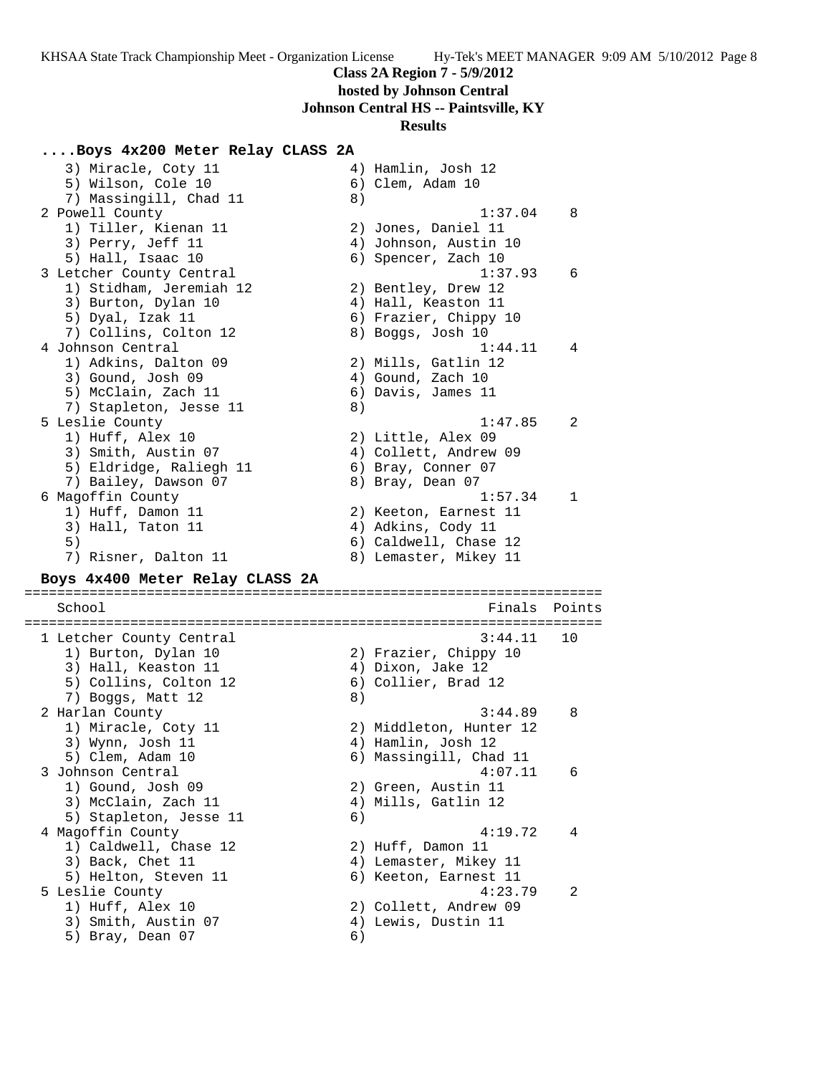#### **Class 2A Region 7 - 5/9/2012**

**hosted by Johnson Central**

**Johnson Central HS -- Paintsville, KY**

#### **Results**

**....Boys 4x200 Meter Relay CLASS 2A** 3) Miracle, Coty 11 (4) Hamlin, Josh 12 5) Wilson, Cole 10 6) Clem, Adam 10 7) Massingill, Chad 11 8) 2 Powell County 1:37.04 8 1) Tiller, Kienan 11 2) Jones, Daniel 11 3) Perry, Jeff 11 4) Johnson, Austin 10 5) Hall, Isaac 10 6) Spencer, Zach 10 3 Letcher County Central 1:37.93 6 1) Stidham, Jeremiah 12 2) Bentley, Drew 12 3) Burton, Dylan 10 4) Hall, Keaston 11 5) Dyal, Izak 11 6) Frazier, Chippy 10 7) Collins, Colton 12 (8) Boggs, Josh 10 4 Johnson Central 1:44.11 4 1) Adkins, Dalton 09 2) Mills, Gatlin 12 3) Gound, Josh 09 (2001) 4) Gound, Zach 10 5) McClain, Zach 11 6) Davis, James 11 7) Stapleton, Jesse 11 (8) 5 Leslie County 1:47.85 2 1) Huff, Alex 10 2) Little, Alex 09 3) Smith, Austin 07 4) Collett, Andrew 09 5) Eldridge, Raliegh 11 (6) Bray, Conner 07 7) Bailey, Dawson 07 8) Bray, Dean 07 6 Magoffin County 1:57.34 1 1) Huff, Damon 11 2) Keeton, Earnest 11 3) Hall, Taton 11 (4) Adkins, Cody 11 5) 6) Caldwell, Chase 12 7) Risner, Dalton 11 8) Lemaster, Mikey 11 **Boys 4x400 Meter Relay CLASS 2A** ======================================================================= School **Finals Points** Points Points Points Points Points Points Points Points Points Points Points Points Points Points Points Points Points Points Points Points Points Points Points Points Points Points Points Points Poi ======================================================================= 1 Letcher County Central 3:44.11 10 1) Burton, Dylan 10 2) Frazier, Chippy 10 3) Hall, Keaston 11 (4) Dixon, Jake 12 5) Collins, Colton 12 6) Collier, Brad 12 7) Boggs, Matt 12 (8) 2 Harlan County 3:44.89 8 1) Miracle, Coty 11 2) Middleton, Hunter 12 3) Wynn, Josh 11 4) Hamlin, Josh 12 5) Clem, Adam 10 6) Massingill, Chad 11 3 Johnson Central 4:07.11 6 1) Gound, Josh 09 2) Green, Austin 11 3) McClain, Zach 11 (4) Mills, Gatlin 12 5) Stapleton, Jesse 11 6) 4 Magoffin County 4:19.72 4 1) Caldwell, Chase 12 2) Huff, Damon 11 3) Back, Chet 11 4) Lemaster, Mikey 11 5) Helton, Steven 11 (6) Keeton, Earnest 11 5 Leslie County 4:23.79 2 1) Huff, Alex 10 2) Collett, Andrew 09 3) Smith, Austin 07 4) Lewis, Dustin 11 5) Bray, Dean 07 6)